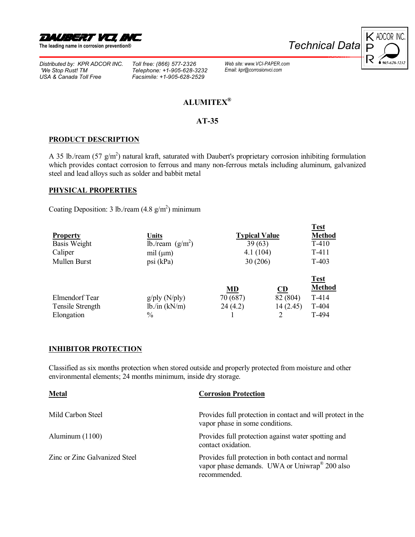

**The leading name in corrosion preventionÆ** 

*[Distributed by: KPR ADCOR INC.](http://www.vci-paper.com/) 'We Stop Rust! TM USA & Canada Toll Free*

*Toll free: (866) 577-2326 Telephone: +1-905-628-3232 Facsimile: +1-905-628-2529*



# **[ALUMITEXÆ](http://www.corrosionvci.com/corrosion/proddetail.php?prod=alumitex)**

*Web site: www.VCI-PAPER.com Email: kpr@corrosionvci.com*

### **AT-35**

#### **PRODUCT DESCRIPTION**

A 35 lb./ream (57 g/m<sup>2</sup>) natural kraft, saturated with Daubert's proprietary corrosion inhibiting formulation which provides contact corrosion to ferrous and many non-ferrous metals including aluminum, galvanized steel and lead alloys such as solder and babbit metal

#### **PHYSICAL PROPERTIES**

Coating Deposition: 3 lb./ream  $(4.8 \text{ g/m}^2)$  minimum

| <b>Property</b><br>Basis Weight<br>Caliper<br>Mullen Burst | Units<br>lb./ream $(g/m^2)$<br>mil $(\mu m)$<br>psi (kPa) | <b>Typical Value</b><br>39(63)<br>4.1(104)<br>30 (206) |                            | <b>Test</b><br><b>Method</b><br>$T-410$<br>$T-411$<br>T-403 |
|------------------------------------------------------------|-----------------------------------------------------------|--------------------------------------------------------|----------------------------|-------------------------------------------------------------|
| Elmendorf Tear<br>Tensile Strength<br>Elongation           | $g$ /ply (N/ply)<br>lb./in (kN/m)<br>$\frac{0}{0}$        | MD<br>70 (687)<br>24(4.2)                              | CD<br>82 (804)<br>14(2.45) | <b>Test</b><br><b>Method</b><br>T-414<br>T-404<br>T-494     |

### **INHIBITOR PROTECTION**

Classified as six months protection when stored outside and properly protected from moisture and other environmental elements; 24 months minimum, inside dry storage.

| <b>Metal</b>                  | <b>Corrosion Protection</b>                                                                                                      |
|-------------------------------|----------------------------------------------------------------------------------------------------------------------------------|
| Mild Carbon Steel             | Provides full protection in contact and will protect in the<br>vapor phase in some conditions.                                   |
| Aluminum $(1100)$             | Provides full protection against water spotting and<br>contact oxidation.                                                        |
| Zinc or Zinc Galvanized Steel | Provides full protection in both contact and normal<br>vapor phase demands. UWA or Uniwrap <sup>®</sup> 200 also<br>recommended. |